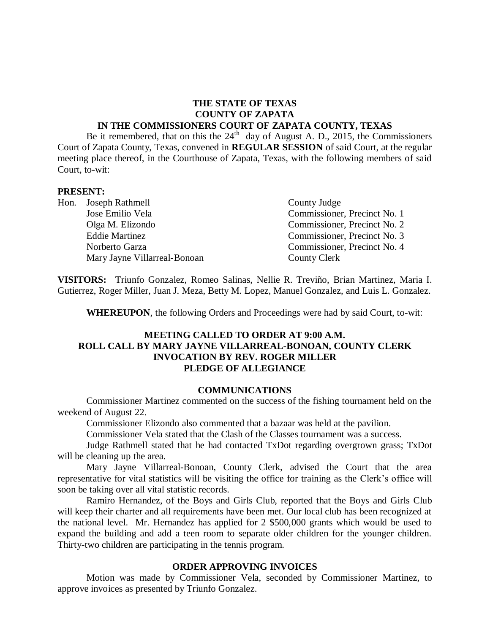#### **THE STATE OF TEXAS COUNTY OF ZAPATA IN THE COMMISSIONERS COURT OF ZAPATA COUNTY, TEXAS**

Be it remembered, that on this the  $24<sup>th</sup>$  day of August A. D., 2015, the Commissioners Court of Zapata County, Texas, convened in **REGULAR SESSION** of said Court, at the regular meeting place thereof, in the Courthouse of Zapata, Texas, with the following members of said Court, to-wit:

#### **PRESENT:**

| Hon. Joseph Rathmell         | County Judge                 |
|------------------------------|------------------------------|
| Jose Emilio Vela             | Commissioner, Precinct No. 1 |
| Olga M. Elizondo             | Commissioner, Precinct No. 2 |
| <b>Eddie Martinez</b>        | Commissioner, Precinct No. 3 |
| Norberto Garza               | Commissioner, Precinct No. 4 |
| Mary Jayne Villarreal-Bonoan | County Clerk                 |

**VISITORS:** Triunfo Gonzalez, Romeo Salinas, Nellie R. Treviño, Brian Martinez, Maria I. Gutierrez, Roger Miller, Juan J. Meza, Betty M. Lopez, Manuel Gonzalez, and Luis L. Gonzalez.

**WHEREUPON**, the following Orders and Proceedings were had by said Court, to-wit:

#### **MEETING CALLED TO ORDER AT 9:00 A.M. ROLL CALL BY MARY JAYNE VILLARREAL-BONOAN, COUNTY CLERK INVOCATION BY REV. ROGER MILLER PLEDGE OF ALLEGIANCE**

#### **COMMUNICATIONS**

Commissioner Martinez commented on the success of the fishing tournament held on the weekend of August 22.

Commissioner Elizondo also commented that a bazaar was held at the pavilion.

Commissioner Vela stated that the Clash of the Classes tournament was a success.

Judge Rathmell stated that he had contacted TxDot regarding overgrown grass; TxDot will be cleaning up the area.

Mary Jayne Villarreal-Bonoan, County Clerk, advised the Court that the area representative for vital statistics will be visiting the office for training as the Clerk's office will soon be taking over all vital statistic records.

Ramiro Hernandez, of the Boys and Girls Club, reported that the Boys and Girls Club will keep their charter and all requirements have been met. Our local club has been recognized at the national level. Mr. Hernandez has applied for 2 \$500,000 grants which would be used to expand the building and add a teen room to separate older children for the younger children. Thirty-two children are participating in the tennis program.

#### **ORDER APPROVING INVOICES**

Motion was made by Commissioner Vela, seconded by Commissioner Martinez, to approve invoices as presented by Triunfo Gonzalez.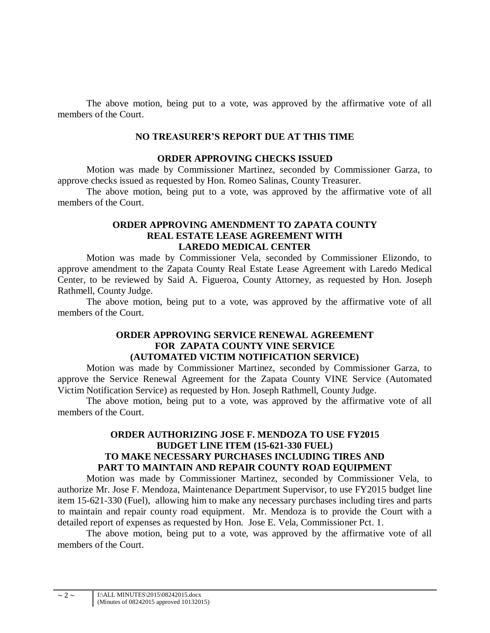The above motion, being put to a vote, was approved by the affirmative vote of all members of the Court.

#### **NO TREASURER'S REPORT DUE AT THIS TIME**

#### **ORDER APPROVING CHECKS ISSUED**

Motion was made by Commissioner Martinez, seconded by Commissioner Garza, to approve checks issued as requested by Hon. Romeo Salinas, County Treasurer.

The above motion, being put to a vote, was approved by the affirmative vote of all members of the Court.

### **ORDER APPROVING AMENDMENT TO ZAPATA COUNTY REAL ESTATE LEASE AGREEMENT WITH LAREDO MEDICAL CENTER**

Motion was made by Commissioner Vela, seconded by Commissioner Elizondo, to approve amendment to the Zapata County Real Estate Lease Agreement with Laredo Medical Center, to be reviewed by Said A. Figueroa, County Attorney, as requested by Hon. Joseph Rathmell, County Judge.

The above motion, being put to a vote, was approved by the affirmative vote of all members of the Court.

#### **ORDER APPROVING SERVICE RENEWAL AGREEMENT FOR ZAPATA COUNTY VINE SERVICE (AUTOMATED VICTIM NOTIFICATION SERVICE)**

Motion was made by Commissioner Martinez, seconded by Commissioner Garza, to approve the Service Renewal Agreement for the Zapata County VINE Service (Automated Victim Notification Service) as requested by Hon. Joseph Rathmell, County Judge.

The above motion, being put to a vote, was approved by the affirmative vote of all members of the Court.

# **ORDER AUTHORIZING JOSE F. MENDOZA TO USE FY2015 BUDGET LINE ITEM (15-621-330 FUEL) TO MAKE NECESSARY PURCHASES INCLUDING TIRES AND PART TO MAINTAIN AND REPAIR COUNTY ROAD EQUIPMENT**

Motion was made by Commissioner Martinez, seconded by Commissioner Vela, to authorize Mr. Jose F. Mendoza, Maintenance Department Supervisor, to use FY2015 budget line item 15-621-330 (Fuel), allowing him to make any necessary purchases including tires and parts to maintain and repair county road equipment. Mr. Mendoza is to provide the Court with a detailed report of expenses as requested by Hon. Jose E. Vela, Commissioner Pct. 1.

The above motion, being put to a vote, was approved by the affirmative vote of all members of the Court.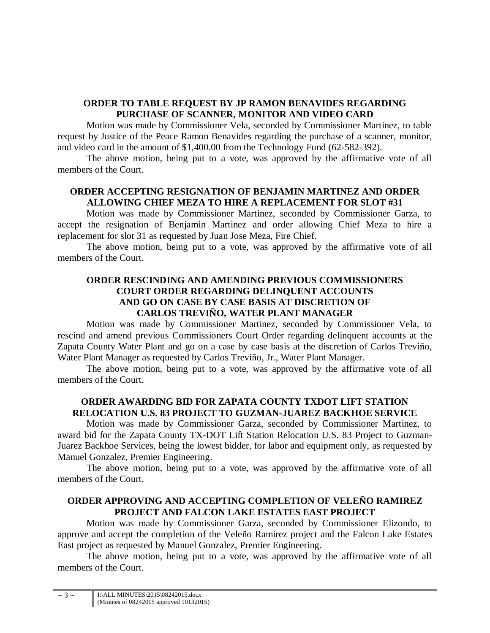# **ORDER TO TABLE REQUEST BY JP RAMON BENAVIDES REGARDING PURCHASE OF SCANNER, MONITOR AND VIDEO CARD**

Motion was made by Commissioner Vela, seconded by Commissioner Martinez, to table request by Justice of the Peace Ramon Benavides regarding the purchase of a scanner, monitor, and video card in the amount of \$1,400.00 from the Technology Fund (62-582-392).

The above motion, being put to a vote, was approved by the affirmative vote of all members of the Court.

# **ORDER ACCEPTING RESIGNATION OF BENJAMIN MARTINEZ AND ORDER ALLOWING CHIEF MEZA TO HIRE A REPLACEMENT FOR SLOT #31**

Motion was made by Commissioner Martinez, seconded by Commissioner Garza, to accept the resignation of Benjamin Martinez and order allowing Chief Meza to hire a replacement for slot 31 as requested by Juan Jose Meza, Fire Chief.

The above motion, being put to a vote, was approved by the affirmative vote of all members of the Court.

# **ORDER RESCINDING AND AMENDING PREVIOUS COMMISSIONERS COURT ORDER REGARDING DELINQUENT ACCOUNTS AND GO ON CASE BY CASE BASIS AT DISCRETION OF CARLOS TREVIO, WATER PLANT MANAGER**

Motion was made by Commissioner Martinez, seconded by Commissioner Vela, to rescind and amend previous Commissioners Court Order regarding delinquent accounts at the Zapata County Water Plant and go on a case by case basis at the discretion of Carlos Treviño, Water Plant Manager as requested by Carlos Treviño, Jr., Water Plant Manager.

The above motion, being put to a vote, was approved by the affirmative vote of all members of the Court.

# **ORDER AWARDING BID FOR ZAPATA COUNTY TXDOT LIFT STATION RELOCATION U.S. 83 PROJECT TO GUZMAN-JUAREZ BACKHOE SERVICE**

Motion was made by Commissioner Garza, seconded by Commissioner Martinez, to award bid for the Zapata County TX-DOT Lift Station Relocation U.S. 83 Project to Guzman-Juarez Backhoe Services, being the lowest bidder, for labor and equipment only, as requested by Manuel Gonzalez, Premier Engineering.

The above motion, being put to a vote, was approved by the affirmative vote of all members of the Court.

# **ORDER APPROVING AND ACCEPTING COMPLETION OF VELEÑO RAMIREZ PROJECT AND FALCON LAKE ESTATES EAST PROJECT**

Motion was made by Commissioner Garza, seconded by Commissioner Elizondo, to approve and accept the completion of the Veleño Ramirez project and the Falcon Lake Estates East project as requested by Manuel Gonzalez, Premier Engineering.

The above motion, being put to a vote, was approved by the affirmative vote of all members of the Court.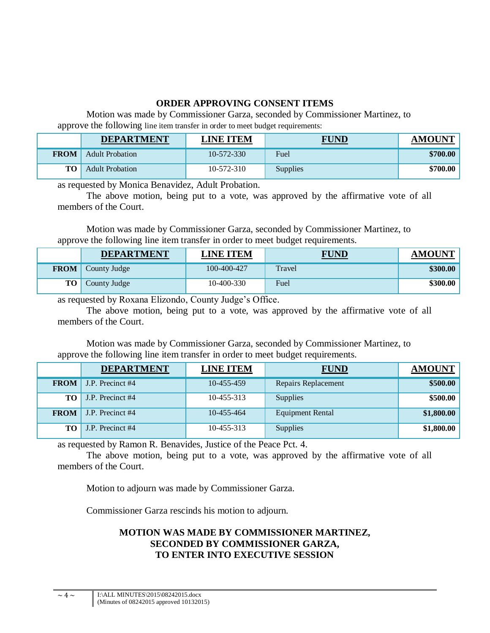# **ORDER APPROVING CONSENT ITEMS**

Motion was made by Commissioner Garza, seconded by Commissioner Martinez, to approve the following line item transfer in order to meet budget requirements:

|             | <b>DEPARTMENT</b>      | <b>LINE ITEM</b> | <b>FUND</b>     | <b>AMOUNT</b> |
|-------------|------------------------|------------------|-----------------|---------------|
| <b>FROM</b> | <b>Adult Probation</b> | $10 - 572 - 330$ | Fuel            | \$700.00      |
| $TO+$       | <b>Adult Probation</b> | $10 - 572 - 310$ | <b>Supplies</b> | \$700.00      |

as requested by Monica Benavidez, Adult Probation.

The above motion, being put to a vote, was approved by the affirmative vote of all members of the Court.

Motion was made by Commissioner Garza, seconded by Commissioner Martinez, to approve the following line item transfer in order to meet budget requirements.

|             | <b>DEPARTMENT</b> | <b>LINE ITEM</b> | <b>FUND</b>   | <b>AMOUNT</b> |
|-------------|-------------------|------------------|---------------|---------------|
| <b>FROM</b> | County Judge      | 100-400-427      | <b>Travel</b> | \$300.00      |
| TO          | County Judge      | $10-400-330$     | Fuel          | \$300.00      |

as requested by Roxana Elizondo, County Judge's Office.

The above motion, being put to a vote, was approved by the affirmative vote of all members of the Court.

Motion was made by Commissioner Garza, seconded by Commissioner Martinez, to approve the following line item transfer in order to meet budget requirements.

|             | <b>DEPARTMENT</b> | <b>LINE ITEM</b> | <b>FUND</b>             | <b>AMOUNT</b> |
|-------------|-------------------|------------------|-------------------------|---------------|
| <b>FROM</b> | J.P. Precinct #4  | 10-455-459       | Repairs Replacement     | \$500.00      |
| TО          | J.P. Precinct #4  | 10-455-313       | <b>Supplies</b>         | \$500.00      |
| <b>FROM</b> | J.P. Precinct #4  | 10-455-464       | <b>Equipment Rental</b> | \$1,800.00    |
| TО          | J.P. Precinct #4  | 10-455-313       | <b>Supplies</b>         | \$1,800.00    |

as requested by Ramon R. Benavides, Justice of the Peace Pct. 4.

The above motion, being put to a vote, was approved by the affirmative vote of all members of the Court.

Motion to adjourn was made by Commissioner Garza.

Commissioner Garza rescinds his motion to adjourn.

# **MOTION WAS MADE BY COMMISSIONER MARTINEZ, SECONDED BY COMMISSIONER GARZA, TO ENTER INTO EXECUTIVE SESSION**